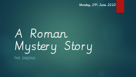Monday 29th June 2020

# A Roman Mystery Story THE ENDING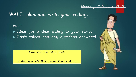#### Monday 29th June 2020

WALT: plan and write your ending.

WILF I deas for a clear ending to your story; Crisis solved and any questions answered.

How will your story end?

Today you will finish your Roman story.

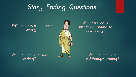### Story Ending Questions

Will there be a surprising ending to your story?

Will you have a sad ending?

Will you have a happy

ending?

Will you have a cliffhanger ending?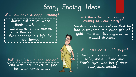## Story Ending Ideas

Will you have a happy ending? Julius still smiles when thinks back on his adventures in the market place that day and how they changed his life for the better.

Will you have a sad ending? Cato was lost, never to find his way home again.

Will there be a surprising ending to your story? Aurelius could not believe that he had discovered this huge pile of gold! He was rich beyond his wildest dreams.

Will there be a cliffhanger? Just as he thought he was safe, there staring into Felix's eyes was his furious, red-faced master…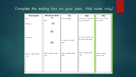#### Complete the ending box on your plan. Add notes only!

| Character description                  | Where does your character    | Crisis                                        | <b>Solution</b>               | Ending               |
|----------------------------------------|------------------------------|-----------------------------------------------|-------------------------------|----------------------|
| Name:                                  | go?                          | What goes wrecen                              | What does your character do   | How do you want your |
|                                        | Place:                       |                                               | to solve the problem?         | story to end?        |
| Personality:                           | <u>(معد</u>                  |                                               |                               |                      |
|                                        | يسا                          |                                               |                               |                      |
| Appearance:                            |                              |                                               | How are you going to make     |                      |
|                                        | ٤                            | How does your character<br>react <sup>2</sup> | the solution really exciting? |                      |
|                                        | Ideas for sentence starters/ | Ideas for sentence starters/                  | Ideas for sentence starters/  | Ideas for sentence   |
| Ideas for sentence starters/<br>vocab: | vocab:                       | vocab:                                        | vocab:                        | starters/ vocab:     |
| ٠                                      |                              |                                               |                               |                      |
|                                        | ٠                            | ٠                                             |                               |                      |
|                                        |                              |                                               |                               |                      |
|                                        |                              | $\bullet$                                     |                               |                      |
|                                        |                              | ٠                                             |                               |                      |
|                                        |                              | ٠                                             |                               |                      |
|                                        |                              |                                               |                               |                      |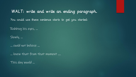WALT: write and write an ending paragraph.

You could use these sentence starts to get you started:

Rubbing his eyes, …

Slowly, …

… could not believe …

… knew that from that moment ….

This day would …